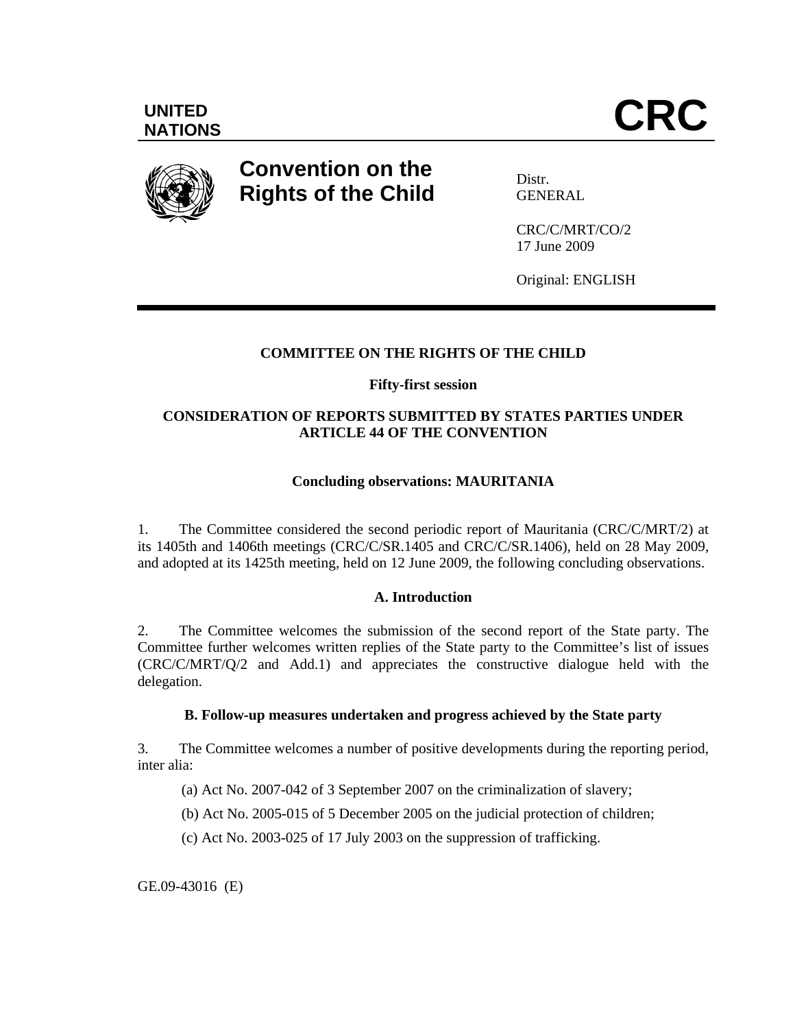

# **Convention on the Rights of the Child**

Distr. GENERAL

CRC/C/MRT/CO/2 17 June 2009

Original: ENGLISH

# **COMMITTEE ON THE RIGHTS OF THE CHILD**

# **Fifty-first session**

# **CONSIDERATION OF REPORTS SUBMITTED BY STATES PARTIES UNDER ARTICLE 44 OF THE CONVENTION**

# **Concluding observations: MAURITANIA**

1. The Committee considered the second periodic report of Mauritania (CRC/C/MRT/2) at its 1405th and 1406th meetings (CRC/C/SR.1405 and CRC/C/SR.1406), held on 28 May 2009, and adopted at its 1425th meeting, held on 12 June 2009, the following concluding observations.

# **A. Introduction**

2. The Committee welcomes the submission of the second report of the State party. The Committee further welcomes written replies of the State party to the Committee's list of issues (CRC/C/MRT/Q/2 and Add.1) and appreciates the constructive dialogue held with the delegation.

# **B. Follow-up measures undertaken and progress achieved by the State party**

3. The Committee welcomes a number of positive developments during the reporting period, inter alia:

(a) Act No. 2007-042 of 3 September 2007 on the criminalization of slavery;

(b) Act No. 2005-015 of 5 December 2005 on the judicial protection of children;

(c) Act No. 2003-025 of 17 July 2003 on the suppression of trafficking.

GE.09-43016 (E)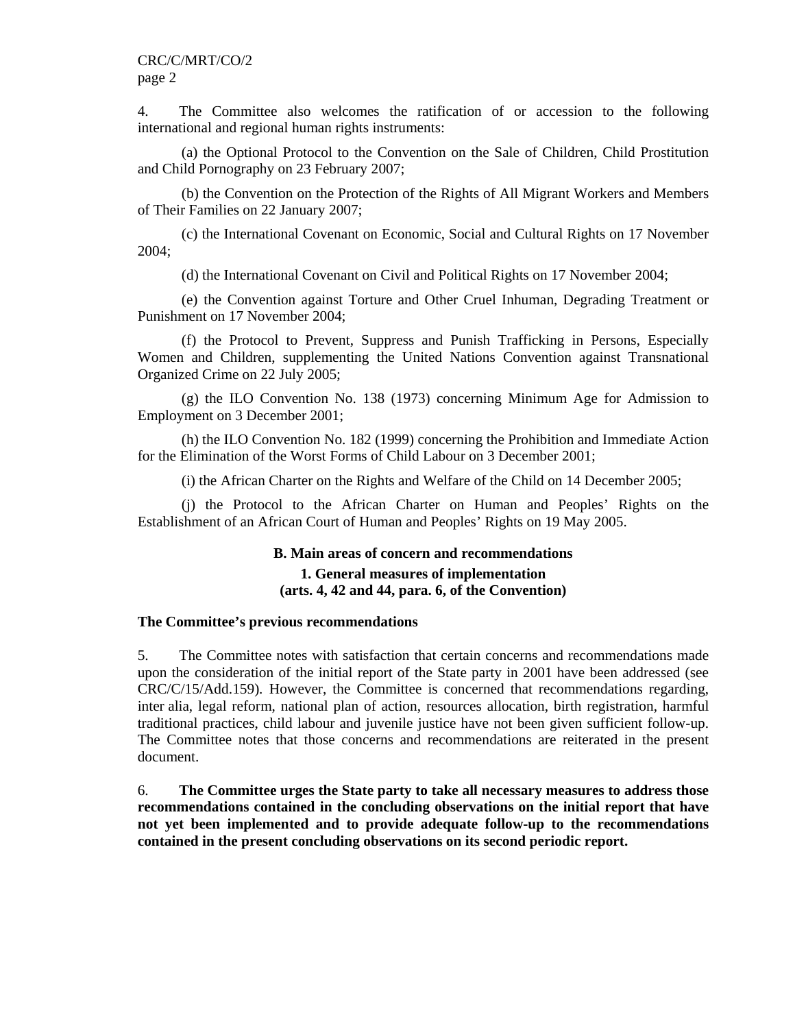4. The Committee also welcomes the ratification of or accession to the following international and regional human rights instruments:

(a) the Optional Protocol to the Convention on the Sale of Children, Child Prostitution and Child Pornography on 23 February 2007;

(b) the Convention on the Protection of the Rights of All Migrant Workers and Members of Their Families on 22 January 2007;

(c) the International Covenant on Economic, Social and Cultural Rights on 17 November 2004;

(d) the International Covenant on Civil and Political Rights on 17 November 2004;

(e) the Convention against Torture and Other Cruel Inhuman, Degrading Treatment or Punishment on 17 November 2004;

(f) the Protocol to Prevent, Suppress and Punish Trafficking in Persons, Especially Women and Children, supplementing the United Nations Convention against Transnational Organized Crime on 22 July 2005;

(g) the ILO Convention No. 138 (1973) concerning Minimum Age for Admission to Employment on 3 December 2001;

(h) the ILO Convention No. 182 (1999) concerning the Prohibition and Immediate Action for the Elimination of the Worst Forms of Child Labour on 3 December 2001;

(i) the African Charter on the Rights and Welfare of the Child on 14 December 2005;

(j) the Protocol to the African Charter on Human and Peoples' Rights on the Establishment of an African Court of Human and Peoples' Rights on 19 May 2005.

# **B. Main areas of concern and recommendations 1. General measures of implementation (arts. 4, 42 and 44, para. 6, of the Convention)**

#### **The Committee's previous recommendations**

5. The Committee notes with satisfaction that certain concerns and recommendations made upon the consideration of the initial report of the State party in 2001 have been addressed (see CRC/C/15/Add.159)*.* However, the Committee is concerned that recommendations regarding, inter alia, legal reform, national plan of action, resources allocation, birth registration, harmful traditional practices, child labour and juvenile justice have not been given sufficient follow-up. The Committee notes that those concerns and recommendations are reiterated in the present document.

6. **The Committee urges the State party to take all necessary measures to address those recommendations contained in the concluding observations on the initial report that have not yet been implemented and to provide adequate follow-up to the recommendations contained in the present concluding observations on its second periodic report.**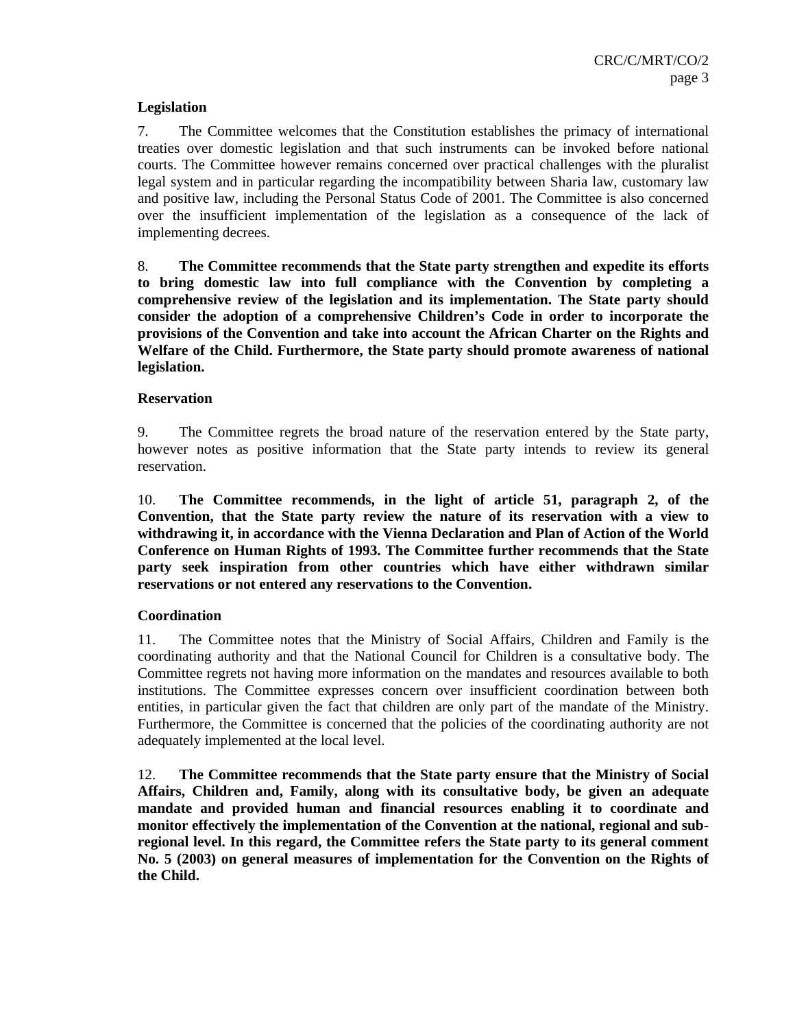# **Legislation**

7. The Committee welcomes that the Constitution establishes the primacy of international treaties over domestic legislation and that such instruments can be invoked before national courts. The Committee however remains concerned over practical challenges with the pluralist legal system and in particular regarding the incompatibility between Sharia law, customary law and positive law, including the Personal Status Code of 2001. The Committee is also concerned over the insufficient implementation of the legislation as a consequence of the lack of implementing decrees.

8. **The Committee recommends that the State party strengthen and expedite its efforts to bring domestic law into full compliance with the Convention by completing a comprehensive review of the legislation and its implementation. The State party should consider the adoption of a comprehensive Children's Code in order to incorporate the provisions of the Convention and take into account the African Charter on the Rights and Welfare of the Child. Furthermore, the State party should promote awareness of national legislation.** 

# **Reservation**

9. The Committee regrets the broad nature of the reservation entered by the State party, however notes as positive information that the State party intends to review its general reservation.

10. **The Committee recommends, in the light of article 51, paragraph 2, of the Convention, that the State party review the nature of its reservation with a view to withdrawing it, in accordance with the Vienna Declaration and Plan of Action of the World Conference on Human Rights of 1993. The Committee further recommends that the State party seek inspiration from other countries which have either withdrawn similar reservations or not entered any reservations to the Convention.** 

# **Coordination**

11. The Committee notes that the Ministry of Social Affairs, Children and Family is the coordinating authority and that the National Council for Children is a consultative body. The Committee regrets not having more information on the mandates and resources available to both institutions. The Committee expresses concern over insufficient coordination between both entities, in particular given the fact that children are only part of the mandate of the Ministry. Furthermore, the Committee is concerned that the policies of the coordinating authority are not adequately implemented at the local level.

12. **The Committee recommends that the State party ensure that the Ministry of Social Affairs, Children and, Family, along with its consultative body, be given an adequate mandate and provided human and financial resources enabling it to coordinate and monitor effectively the implementation of the Convention at the national, regional and subregional level. In this regard, the Committee refers the State party to its general comment No. 5 (2003) on general measures of implementation for the Convention on the Rights of the Child.**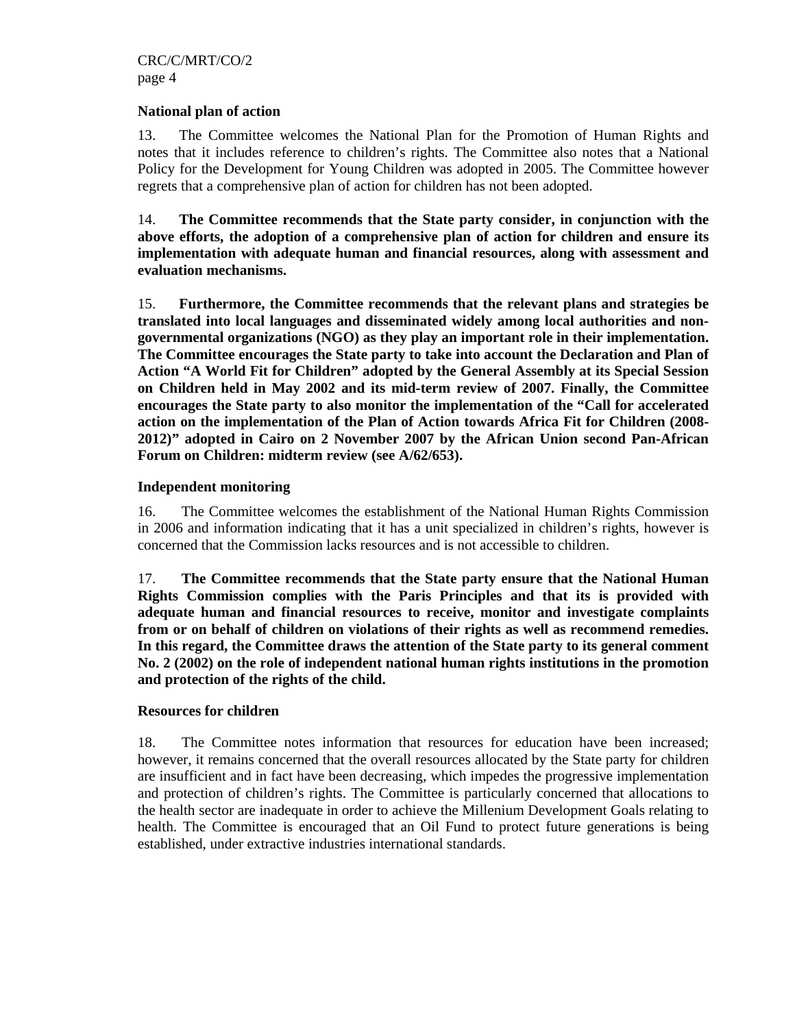# **National plan of action**

13. The Committee welcomes the National Plan for the Promotion of Human Rights and notes that it includes reference to children's rights. The Committee also notes that a National Policy for the Development for Young Children was adopted in 2005. The Committee however regrets that a comprehensive plan of action for children has not been adopted.

14. **The Committee recommends that the State party consider, in conjunction with the above efforts, the adoption of a comprehensive plan of action for children and ensure its implementation with adequate human and financial resources, along with assessment and evaluation mechanisms.** 

15. **Furthermore, the Committee recommends that the relevant plans and strategies be translated into local languages and disseminated widely among local authorities and nongovernmental organizations (NGO) as they play an important role in their implementation. The Committee encourages the State party to take into account the Declaration and Plan of Action "A World Fit for Children" adopted by the General Assembly at its Special Session on Children held in May 2002 and its mid-term review of 2007. Finally, the Committee encourages the State party to also monitor the implementation of the "Call for accelerated action on the implementation of the Plan of Action towards Africa Fit for Children (2008- 2012)" adopted in Cairo on 2 November 2007 by the African Union second Pan-African Forum on Children: midterm review (see A/62/653).** 

# **Independent monitoring**

16. The Committee welcomes the establishment of the National Human Rights Commission in 2006 and information indicating that it has a unit specialized in children's rights, however is concerned that the Commission lacks resources and is not accessible to children.

17. **The Committee recommends that the State party ensure that the National Human Rights Commission complies with the Paris Principles and that its is provided with adequate human and financial resources to receive, monitor and investigate complaints from or on behalf of children on violations of their rights as well as recommend remedies. In this regard, the Committee draws the attention of the State party to its general comment No. 2 (2002) on the role of independent national human rights institutions in the promotion and protection of the rights of the child.** 

# **Resources for children**

18. The Committee notes information that resources for education have been increased; however, it remains concerned that the overall resources allocated by the State party for children are insufficient and in fact have been decreasing, which impedes the progressive implementation and protection of children's rights. The Committee is particularly concerned that allocations to the health sector are inadequate in order to achieve the Millenium Development Goals relating to health. The Committee is encouraged that an Oil Fund to protect future generations is being established, under extractive industries international standards.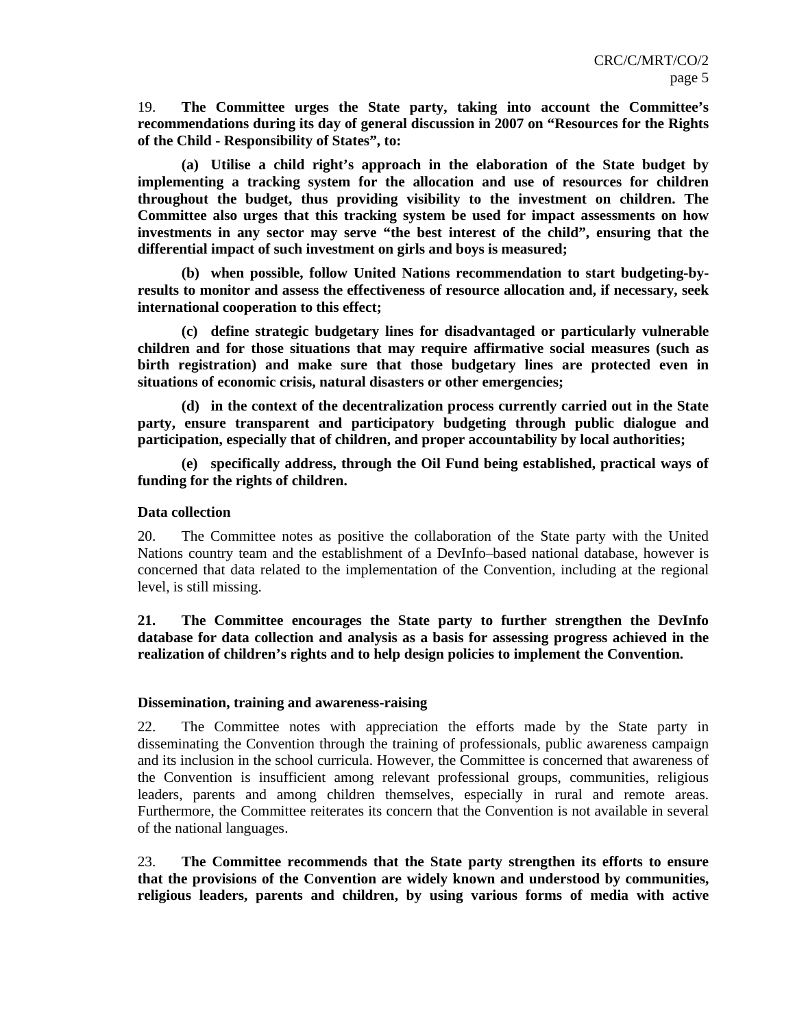19. **The Committee urges the State party, taking into account the Committee's recommendations during its day of general discussion in 2007 on "Resources for the Rights of the Child - Responsibility of States", to:** 

**(a) Utilise a child right's approach in the elaboration of the State budget by implementing a tracking system for the allocation and use of resources for children throughout the budget, thus providing visibility to the investment on children. The Committee also urges that this tracking system be used for impact assessments on how investments in any sector may serve "the best interest of the child", ensuring that the differential impact of such investment on girls and boys is measured;** 

**(b) when possible, follow United Nations recommendation to start budgeting-byresults to monitor and assess the effectiveness of resource allocation and, if necessary, seek international cooperation to this effect;**

**(c) define strategic budgetary lines for disadvantaged or particularly vulnerable children and for those situations that may require affirmative social measures (such as birth registration) and make sure that those budgetary lines are protected even in situations of economic crisis, natural disasters or other emergencies;**

**(d) in the context of the decentralization process currently carried out in the State party, ensure transparent and participatory budgeting through public dialogue and participation, especially that of children, and proper accountability by local authorities;** 

**(e) specifically address, through the Oil Fund being established, practical ways of funding for the rights of children.** 

#### **Data collection**

20. The Committee notes as positive the collaboration of the State party with the United Nations country team and the establishment of a DevInfo–based national database, however is concerned that data related to the implementation of the Convention, including at the regional level, is still missing.

**21. The Committee encourages the State party to further strengthen the DevInfo database for data collection and analysis as a basis for assessing progress achieved in the realization of children's rights and to help design policies to implement the Convention.** 

#### **Dissemination, training and awareness-raising**

22. The Committee notes with appreciation the efforts made by the State party in disseminating the Convention through the training of professionals, public awareness campaign and its inclusion in the school curricula. However, the Committee is concerned that awareness of the Convention is insufficient among relevant professional groups, communities, religious leaders, parents and among children themselves, especially in rural and remote areas. Furthermore, the Committee reiterates its concern that the Convention is not available in several of the national languages.

23. **The Committee recommends that the State party strengthen its efforts to ensure that the provisions of the Convention are widely known and understood by communities, religious leaders, parents and children, by using various forms of media with active**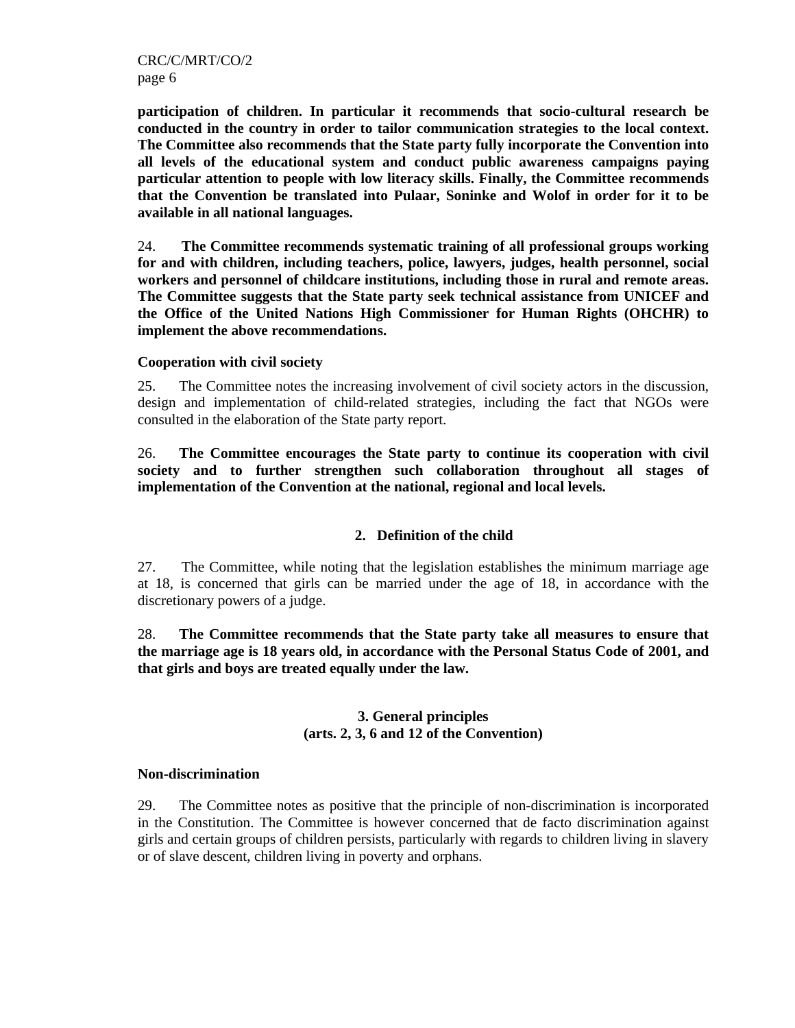**participation of children. In particular it recommends that socio-cultural research be conducted in the country in order to tailor communication strategies to the local context. The Committee also recommends that the State party fully incorporate the Convention into all levels of the educational system and conduct public awareness campaigns paying particular attention to people with low literacy skills. Finally, the Committee recommends that the Convention be translated into Pulaar, Soninke and Wolof in order for it to be available in all national languages.** 

24. **The Committee recommends systematic training of all professional groups working for and with children, including teachers, police, lawyers, judges, health personnel, social workers and personnel of childcare institutions, including those in rural and remote areas. The Committee suggests that the State party seek technical assistance from UNICEF and the Office of the United Nations High Commissioner for Human Rights (OHCHR) to implement the above recommendations.** 

#### **Cooperation with civil society**

25. The Committee notes the increasing involvement of civil society actors in the discussion, design and implementation of child-related strategies, including the fact that NGOs were consulted in the elaboration of the State party report.

26. **The Committee encourages the State party to continue its cooperation with civil society and to further strengthen such collaboration throughout all stages of implementation of the Convention at the national, regional and local levels.** 

# **2. Definition of the child**

27. The Committee, while noting that the legislation establishes the minimum marriage age at 18, is concerned that girls can be married under the age of 18, in accordance with the discretionary powers of a judge.

28. **The Committee recommends that the State party take all measures to ensure that the marriage age is 18 years old, in accordance with the Personal Status Code of 2001, and that girls and boys are treated equally under the law.** 

# **3. General principles (arts. 2, 3, 6 and 12 of the Convention)**

#### **Non-discrimination**

29. The Committee notes as positive that the principle of non-discrimination is incorporated in the Constitution. The Committee is however concerned that de facto discrimination against girls and certain groups of children persists, particularly with regards to children living in slavery or of slave descent, children living in poverty and orphans.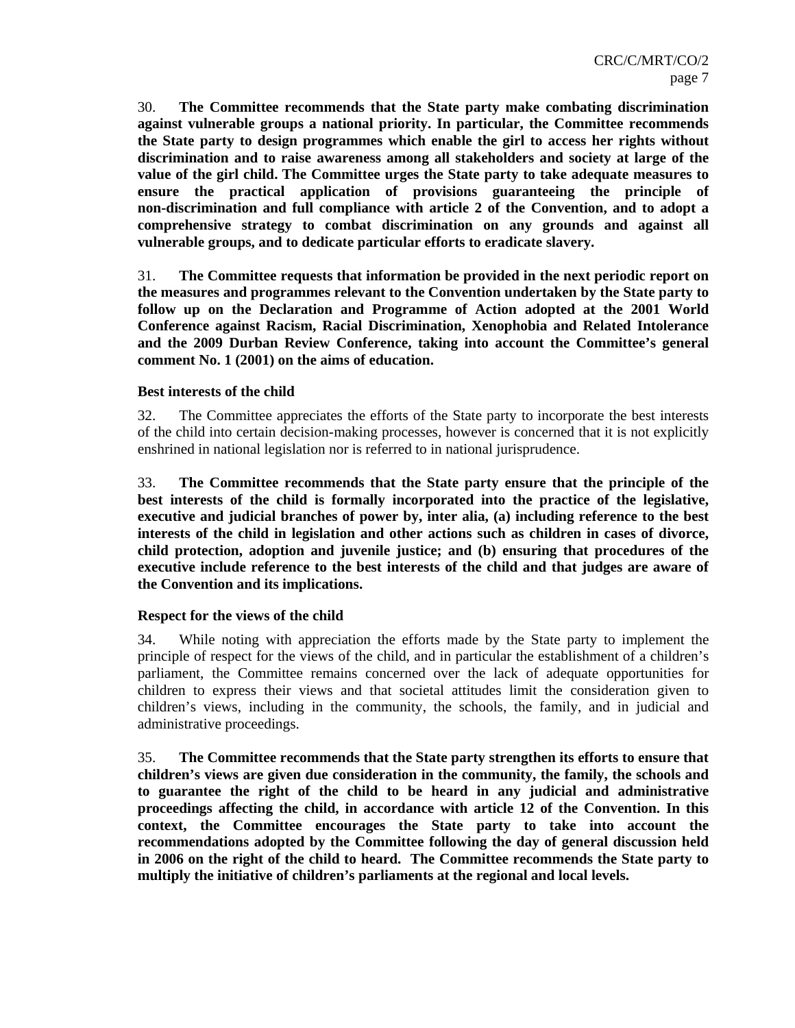30. **The Committee recommends that the State party make combating discrimination against vulnerable groups a national priority. In particular, the Committee recommends the State party to design programmes which enable the girl to access her rights without discrimination and to raise awareness among all stakeholders and society at large of the value of the girl child. The Committee urges the State party to take adequate measures to ensure the practical application of provisions guaranteeing the principle of non-discrimination and full compliance with article 2 of the Convention, and to adopt a comprehensive strategy to combat discrimination on any grounds and against all vulnerable groups, and to dedicate particular efforts to eradicate slavery.** 

31. **The Committee requests that information be provided in the next periodic report on the measures and programmes relevant to the Convention undertaken by the State party to follow up on the Declaration and Programme of Action adopted at the 2001 World Conference against Racism, Racial Discrimination, Xenophobia and Related Intolerance and the 2009 Durban Review Conference, taking into account the Committee's general comment No. 1 (2001) on the aims of education.** 

#### **Best interests of the child**

32. The Committee appreciates the efforts of the State party to incorporate the best interests of the child into certain decision-making processes, however is concerned that it is not explicitly enshrined in national legislation nor is referred to in national jurisprudence.

33. **The Committee recommends that the State party ensure that the principle of the best interests of the child is formally incorporated into the practice of the legislative, executive and judicial branches of power by, inter alia, (a) including reference to the best interests of the child in legislation and other actions such as children in cases of divorce, child protection, adoption and juvenile justice; and (b) ensuring that procedures of the executive include reference to the best interests of the child and that judges are aware of the Convention and its implications.** 

# **Respect for the views of the child**

34. While noting with appreciation the efforts made by the State party to implement the principle of respect for the views of the child, and in particular the establishment of a children's parliament, the Committee remains concerned over the lack of adequate opportunities for children to express their views and that societal attitudes limit the consideration given to children's views, including in the community, the schools, the family, and in judicial and administrative proceedings.

35. **The Committee recommends that the State party strengthen its efforts to ensure that children's views are given due consideration in the community, the family, the schools and to guarantee the right of the child to be heard in any judicial and administrative proceedings affecting the child, in accordance with article 12 of the Convention. In this context, the Committee encourages the State party to take into account the recommendations adopted by the Committee following the day of general discussion held in 2006 on the right of the child to heard. The Committee recommends the State party to multiply the initiative of children's parliaments at the regional and local levels.**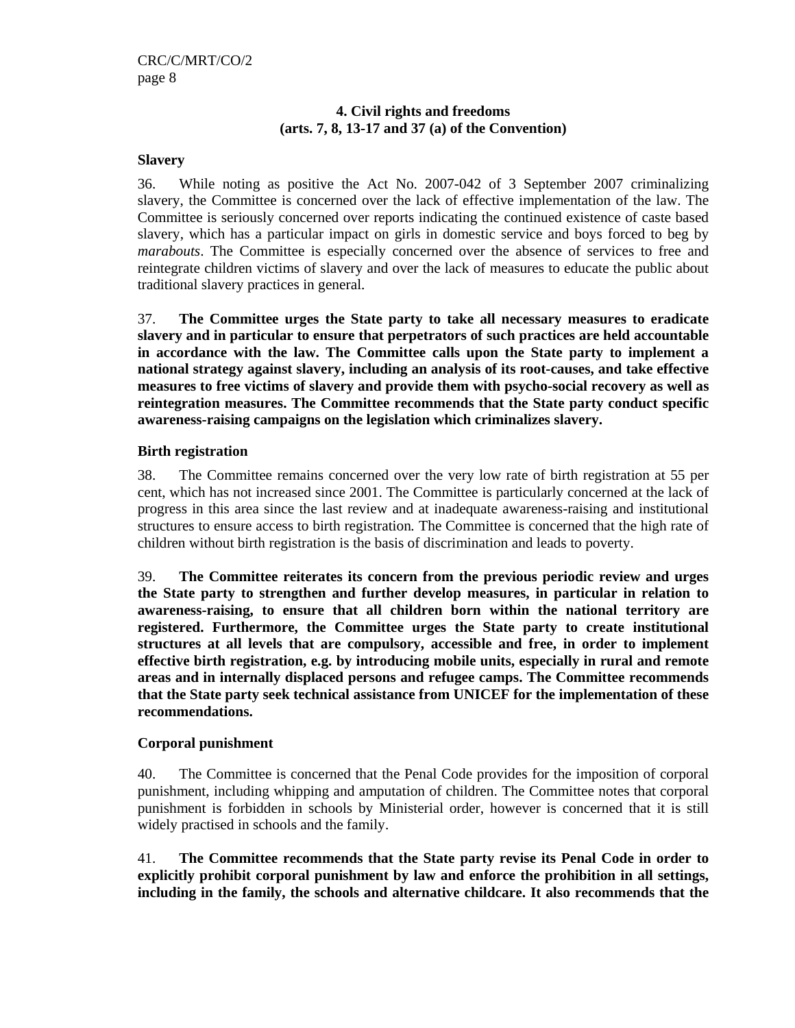# **4. Civil rights and freedoms (arts. 7, 8, 13-17 and 37 (a) of the Convention)**

# **Slavery**

36. While noting as positive the Act No. 2007-042 of 3 September 2007 criminalizing slavery, the Committee is concerned over the lack of effective implementation of the law. The Committee is seriously concerned over reports indicating the continued existence of caste based slavery, which has a particular impact on girls in domestic service and boys forced to beg by *marabouts*. The Committee is especially concerned over the absence of services to free and reintegrate children victims of slavery and over the lack of measures to educate the public about traditional slavery practices in general.

37. **The Committee urges the State party to take all necessary measures to eradicate slavery and in particular to ensure that perpetrators of such practices are held accountable in accordance with the law. The Committee calls upon the State party to implement a national strategy against slavery, including an analysis of its root-causes, and take effective measures to free victims of slavery and provide them with psycho-social recovery as well as reintegration measures. The Committee recommends that the State party conduct specific awareness-raising campaigns on the legislation which criminalizes slavery.**

# **Birth registration**

38. The Committee remains concerned over the very low rate of birth registration at 55 per cent, which has not increased since 2001. The Committee is particularly concerned at the lack of progress in this area since the last review and at inadequate awareness-raising and institutional structures to ensure access to birth registration*.* The Committee is concerned that the high rate of children without birth registration is the basis of discrimination and leads to poverty.

39. **The Committee reiterates its concern from the previous periodic review and urges the State party to strengthen and further develop measures, in particular in relation to awareness-raising, to ensure that all children born within the national territory are registered. Furthermore, the Committee urges the State party to create institutional structures at all levels that are compulsory, accessible and free, in order to implement effective birth registration, e.g. by introducing mobile units, especially in rural and remote areas and in internally displaced persons and refugee camps. The Committee recommends that the State party seek technical assistance from UNICEF for the implementation of these recommendations.** 

# **Corporal punishment**

40. The Committee is concerned that the Penal Code provides for the imposition of corporal punishment, including whipping and amputation of children. The Committee notes that corporal punishment is forbidden in schools by Ministerial order, however is concerned that it is still widely practised in schools and the family.

41. **The Committee recommends that the State party revise its Penal Code in order to explicitly prohibit corporal punishment by law and enforce the prohibition in all settings, including in the family, the schools and alternative childcare. It also recommends that the**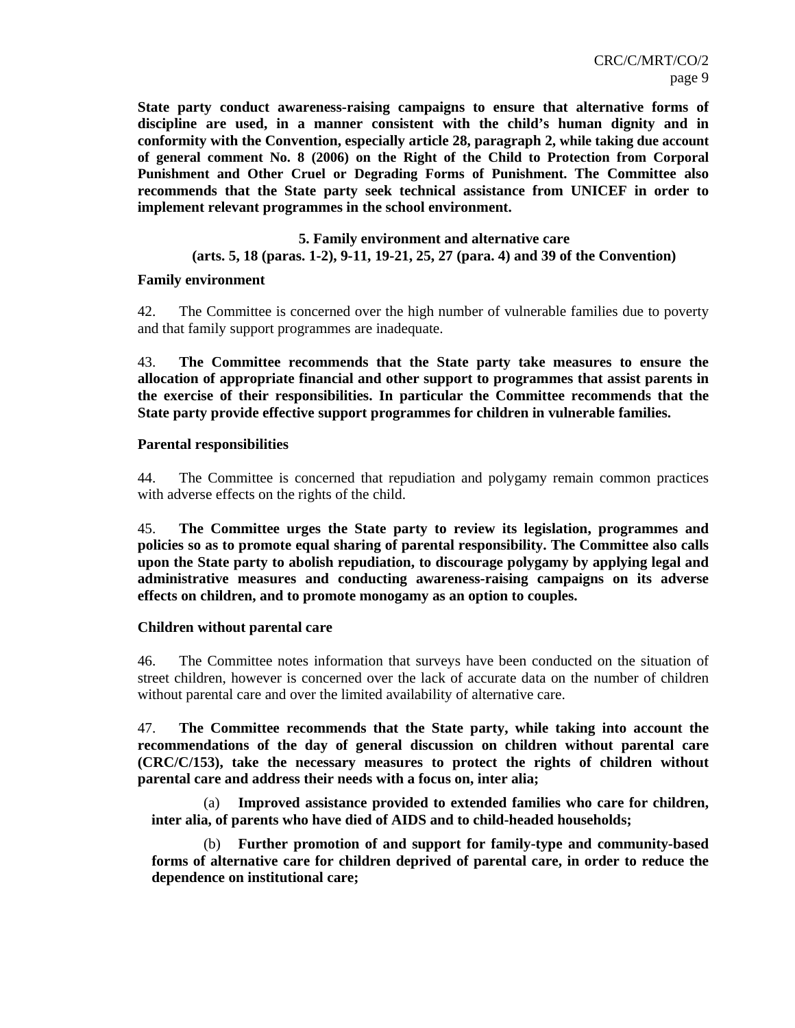**State party conduct awareness-raising campaigns to ensure that alternative forms of discipline are used, in a manner consistent with the child's human dignity and in conformity with the Convention, especially article 28, paragraph 2, while taking due account of general comment No. 8 (2006) on the Right of the Child to Protection from Corporal Punishment and Other Cruel or Degrading Forms of Punishment. The Committee also recommends that the State party seek technical assistance from UNICEF in order to implement relevant programmes in the school environment.**

#### **5. Family environment and alternative care**

#### **(arts. 5, 18 (paras. 1-2), 9-11, 19-21, 25, 27 (para. 4) and 39 of the Convention)**

#### **Family environment**

42. The Committee is concerned over the high number of vulnerable families due to poverty and that family support programmes are inadequate.

43. **The Committee recommends that the State party take measures to ensure the allocation of appropriate financial and other support to programmes that assist parents in the exercise of their responsibilities. In particular the Committee recommends that the State party provide effective support programmes for children in vulnerable families.**

#### **Parental responsibilities**

44. The Committee is concerned that repudiation and polygamy remain common practices with adverse effects on the rights of the child.

45. **The Committee urges the State party to review its legislation, programmes and policies so as to promote equal sharing of parental responsibility. The Committee also calls upon the State party to abolish repudiation, to discourage polygamy by applying legal and administrative measures and conducting awareness-raising campaigns on its adverse effects on children, and to promote monogamy as an option to couples.**

# **Children without parental care**

46. The Committee notes information that surveys have been conducted on the situation of street children, however is concerned over the lack of accurate data on the number of children without parental care and over the limited availability of alternative care.

47. **The Committee recommends that the State party, while taking into account the recommendations of the day of general discussion on children without parental care (CRC/C/153), take the necessary measures to protect the rights of children without parental care and address their needs with a focus on, inter alia;** 

(a) **Improved assistance provided to extended families who care for children, inter alia, of parents who have died of AIDS and to child-headed households;** 

(b) **Further promotion of and support for family-type and community-based forms of alternative care for children deprived of parental care, in order to reduce the dependence on institutional care;**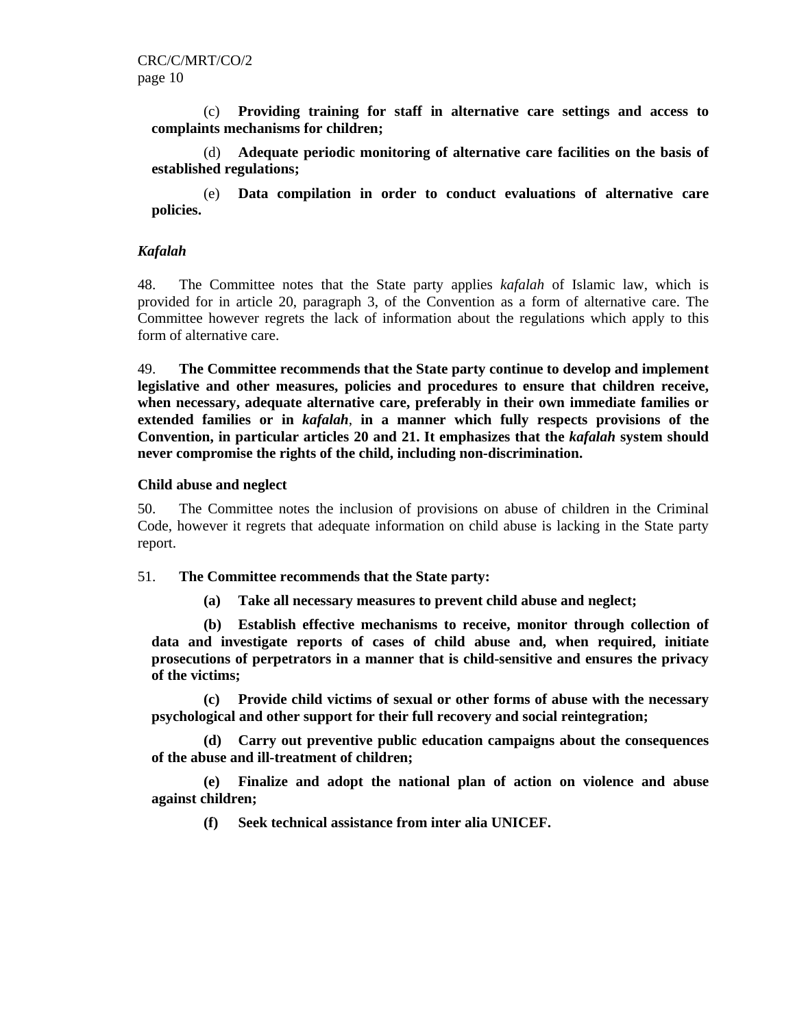(c) **Providing training for staff in alternative care settings and access to complaints mechanisms for children;** 

(d) **Adequate periodic monitoring of alternative care facilities on the basis of established regulations;** 

(e) **Data compilation in order to conduct evaluations of alternative care policies.** 

# *Kafalah*

48. The Committee notes that the State party applies *kafalah* of Islamic law, which is provided for in article 20, paragraph 3, of the Convention as a form of alternative care. The Committee however regrets the lack of information about the regulations which apply to this form of alternative care.

49. **The Committee recommends that the State party continue to develop and implement legislative and other measures, policies and procedures to ensure that children receive, when necessary, adequate alternative care, preferably in their own immediate families or extended families or in** *kafalah*, **in a manner which fully respects provisions of the Convention, in particular articles 20 and 21. It emphasizes that the** *kafalah* **system should never compromise the rights of the child, including non-discrimination.**

# **Child abuse and neglect**

50. The Committee notes the inclusion of provisions on abuse of children in the Criminal Code, however it regrets that adequate information on child abuse is lacking in the State party report.

#### 51. **The Committee recommends that the State party:**

**(a) Take all necessary measures to prevent child abuse and neglect;** 

**(b) Establish effective mechanisms to receive, monitor through collection of data and investigate reports of cases of child abuse and, when required, initiate prosecutions of perpetrators in a manner that is child-sensitive and ensures the privacy of the victims;** 

**(c) Provide child victims of sexual or other forms of abuse with the necessary psychological and other support for their full recovery and social reintegration;** 

**(d) Carry out preventive public education campaigns about the consequences of the abuse and ill-treatment of children;** 

**(e) Finalize and adopt the national plan of action on violence and abuse against children;** 

**(f) Seek technical assistance from inter alia UNICEF.**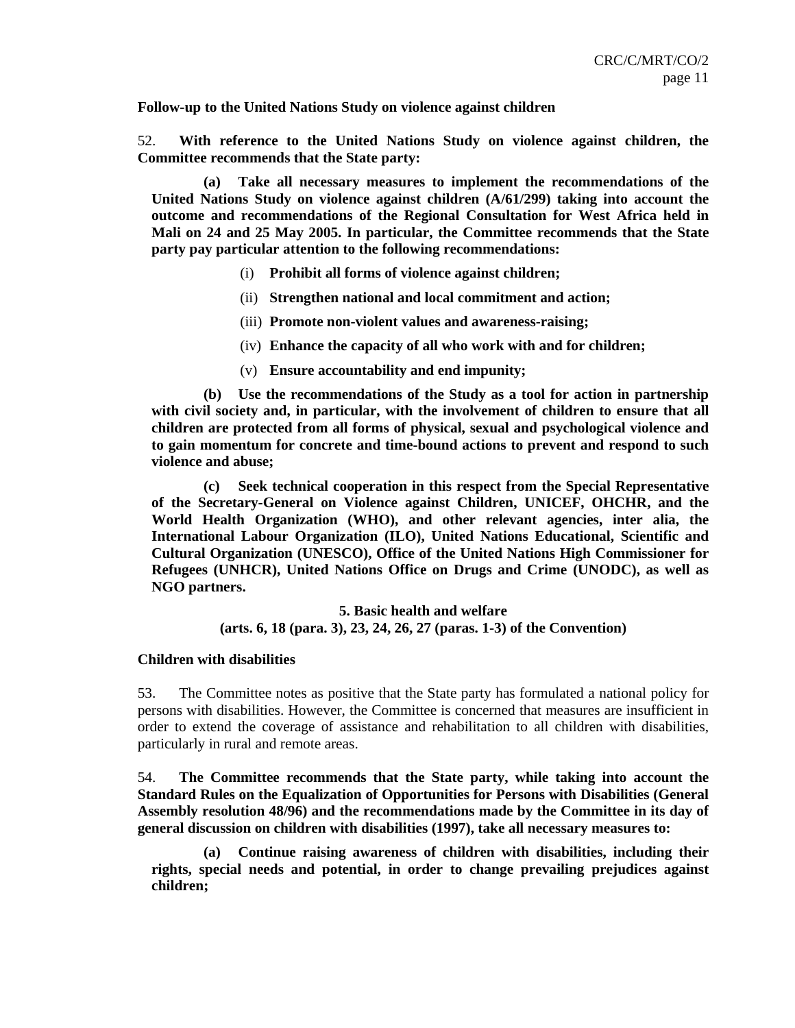**Follow-up to the United Nations Study on violence against children** 

52. **With reference to the United Nations Study on violence against children, the Committee recommends that the State party:** 

**(a) Take all necessary measures to implement the recommendations of the United Nations Study on violence against children (A/61/299) taking into account the outcome and recommendations of the Regional Consultation for West Africa held in Mali on 24 and 25 May 2005. In particular, the Committee recommends that the State party pay particular attention to the following recommendations:** 

- (i) **Prohibit all forms of violence against children;**
- (ii) **Strengthen national and local commitment and action;**
- (iii) **Promote non-violent values and awareness-raising;**
- (iv) **Enhance the capacity of all who work with and for children;**
- (v) **Ensure accountability and end impunity;**

**(b) Use the recommendations of the Study as a tool for action in partnership with civil society and, in particular, with the involvement of children to ensure that all children are protected from all forms of physical, sexual and psychological violence and to gain momentum for concrete and time-bound actions to prevent and respond to such violence and abuse;** 

**(c) Seek technical cooperation in this respect from the Special Representative of the Secretary-General on Violence against Children, UNICEF, OHCHR, and the World Health Organization (WHO), and other relevant agencies, inter alia, the International Labour Organization (ILO), United Nations Educational, Scientific and Cultural Organization (UNESCO), Office of the United Nations High Commissioner for Refugees (UNHCR), United Nations Office on Drugs and Crime (UNODC), as well as NGO partners.** 

**5. Basic health and welfare** 

**(arts. 6, 18 (para. 3), 23, 24, 26, 27 (paras. 1-3) of the Convention)** 

#### **Children with disabilities**

53. The Committee notes as positive that the State party has formulated a national policy for persons with disabilities. However, the Committee is concerned that measures are insufficient in order to extend the coverage of assistance and rehabilitation to all children with disabilities, particularly in rural and remote areas.

54. **The Committee recommends that the State party, while taking into account the Standard Rules on the Equalization of Opportunities for Persons with Disabilities (General Assembly resolution 48/96) and the recommendations made by the Committee in its day of general discussion on children with disabilities (1997), take all necessary measures to:** 

**(a) Continue raising awareness of children with disabilities, including their rights, special needs and potential, in order to change prevailing prejudices against children;**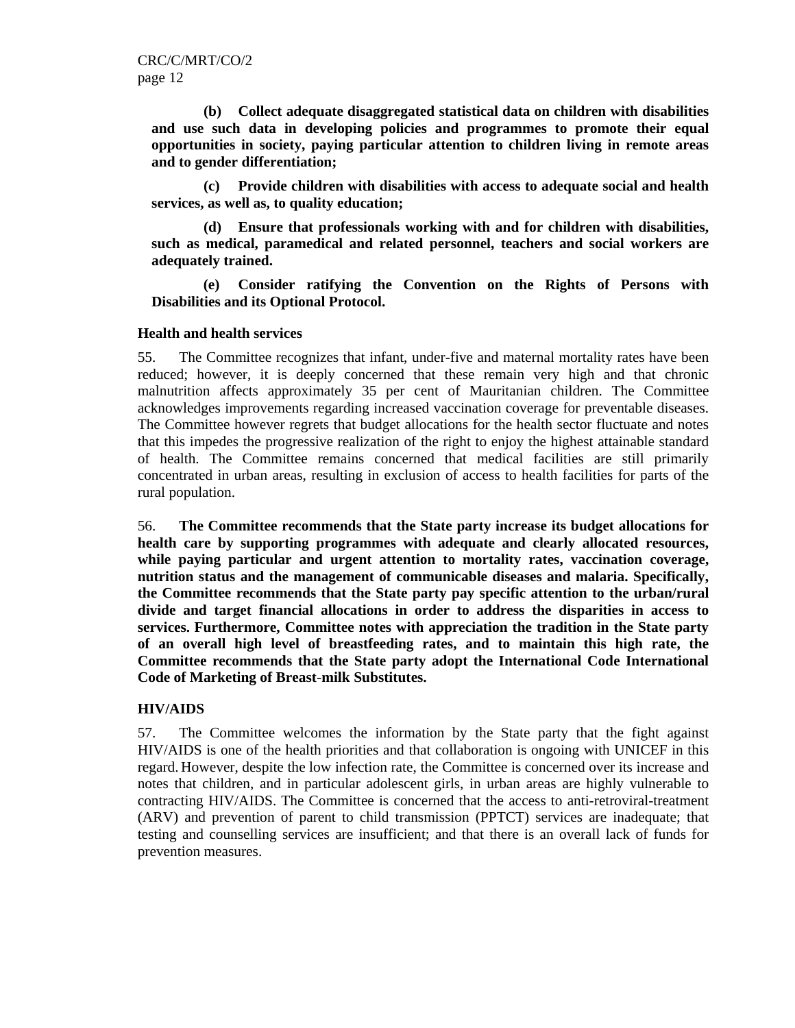**(b) Collect adequate disaggregated statistical data on children with disabilities and use such data in developing policies and programmes to promote their equal opportunities in society, paying particular attention to children living in remote areas and to gender differentiation;** 

**(c) Provide children with disabilities with access to adequate social and health services, as well as, to quality education;** 

**(d) Ensure that professionals working with and for children with disabilities, such as medical, paramedical and related personnel, teachers and social workers are adequately trained.** 

**(e) Consider ratifying the Convention on the Rights of Persons with Disabilities and its Optional Protocol.** 

# **Health and health services**

55. The Committee recognizes that infant, under-five and maternal mortality rates have been reduced; however, it is deeply concerned that these remain very high and that chronic malnutrition affects approximately 35 per cent of Mauritanian children. The Committee acknowledges improvements regarding increased vaccination coverage for preventable diseases. The Committee however regrets that budget allocations for the health sector fluctuate and notes that this impedes the progressive realization of the right to enjoy the highest attainable standard of health. The Committee remains concerned that medical facilities are still primarily concentrated in urban areas, resulting in exclusion of access to health facilities for parts of the rural population.

56. **The Committee recommends that the State party increase its budget allocations for health care by supporting programmes with adequate and clearly allocated resources, while paying particular and urgent attention to mortality rates, vaccination coverage, nutrition status and the management of communicable diseases and malaria. Specifically, the Committee recommends that the State party pay specific attention to the urban/rural divide and target financial allocations in order to address the disparities in access to services. Furthermore, Committee notes with appreciation the tradition in the State party of an overall high level of breastfeeding rates, and to maintain this high rate, the Committee recommends that the State party adopt the International Code International Code of Marketing of Breast**-**milk Substitutes.**

# **HIV/AIDS**

57. The Committee welcomes the information by the State party that the fight against HIV/AIDS is one of the health priorities and that collaboration is ongoing with UNICEF in this regard. However, despite the low infection rate, the Committee is concerned over its increase and notes that children, and in particular adolescent girls, in urban areas are highly vulnerable to contracting HIV/AIDS. The Committee is concerned that the access to anti-retroviral-treatment (ARV) and prevention of parent to child transmission (PPTCT) services are inadequate; that testing and counselling services are insufficient; and that there is an overall lack of funds for prevention measures.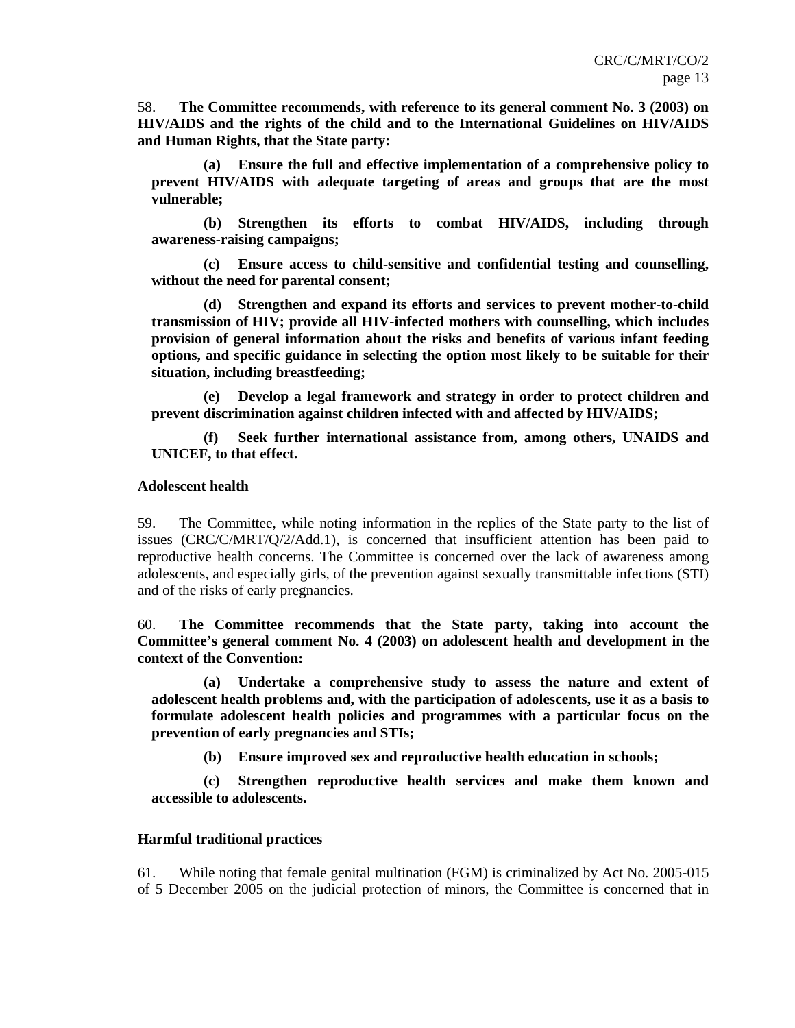58. **The Committee recommends, with reference to its general comment No. 3 (2003) on HIV/AIDS and the rights of the child and to the International Guidelines on HIV/AIDS and Human Rights, that the State party:** 

**(a) Ensure the full and effective implementation of a comprehensive policy to prevent HIV/AIDS with adequate targeting of areas and groups that are the most vulnerable;** 

**(b) Strengthen its efforts to combat HIV/AIDS, including through awareness-raising campaigns;** 

**(c) Ensure access to child-sensitive and confidential testing and counselling, without the need for parental consent;** 

**(d) Strengthen and expand its efforts and services to prevent mother-to-child transmission of HIV; provide all HIV-infected mothers with counselling, which includes provision of general information about the risks and benefits of various infant feeding options, and specific guidance in selecting the option most likely to be suitable for their situation, including breastfeeding;** 

**(e) Develop a legal framework and strategy in order to protect children and prevent discrimination against children infected with and affected by HIV/AIDS;** 

**(f) Seek further international assistance from, among others, UNAIDS and UNICEF, to that effect.** 

#### **Adolescent health**

59. The Committee, while noting information in the replies of the State party to the list of issues (CRC/C/MRT/Q/2/Add.1), is concerned that insufficient attention has been paid to reproductive health concerns. The Committee is concerned over the lack of awareness among adolescents, and especially girls, of the prevention against sexually transmittable infections (STI) and of the risks of early pregnancies.

60. **The Committee recommends that the State party, taking into account the Committee's general comment No. 4 (2003) on adolescent health and development in the context of the Convention:** 

**(a) Undertake a comprehensive study to assess the nature and extent of adolescent health problems and, with the participation of adolescents, use it as a basis to formulate adolescent health policies and programmes with a particular focus on the prevention of early pregnancies and STIs;** 

**(b) Ensure improved sex and reproductive health education in schools;** 

**(c) Strengthen reproductive health services and make them known and accessible to adolescents.** 

#### **Harmful traditional practices**

61. While noting that female genital multination (FGM) is criminalized by Act No. 2005-015 of 5 December 2005 on the judicial protection of minors, the Committee is concerned that in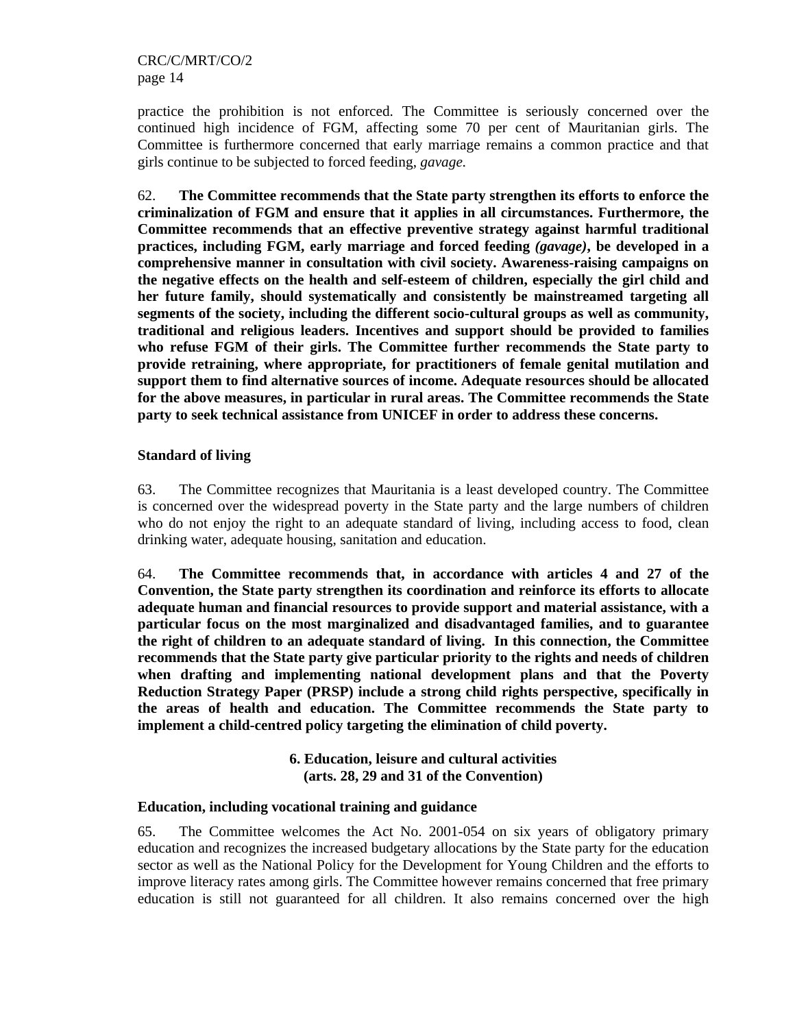practice the prohibition is not enforced. The Committee is seriously concerned over the continued high incidence of FGM, affecting some 70 per cent of Mauritanian girls. The Committee is furthermore concerned that early marriage remains a common practice and that girls continue to be subjected to forced feeding, *gavage.*

62. **The Committee recommends that the State party strengthen its efforts to enforce the criminalization of FGM and ensure that it applies in all circumstances. Furthermore, the Committee recommends that an effective preventive strategy against harmful traditional practices, including FGM, early marriage and forced feeding** *(gavage)***, be developed in a comprehensive manner in consultation with civil society. Awareness-raising campaigns on the negative effects on the health and self-esteem of children, especially the girl child and her future family, should systematically and consistently be mainstreamed targeting all segments of the society, including the different socio-cultural groups as well as community, traditional and religious leaders. Incentives and support should be provided to families who refuse FGM of their girls. The Committee further recommends the State party to provide retraining, where appropriate, for practitioners of female genital mutilation and support them to find alternative sources of income. Adequate resources should be allocated for the above measures, in particular in rural areas. The Committee recommends the State party to seek technical assistance from UNICEF in order to address these concerns.** 

# **Standard of living**

63. The Committee recognizes that Mauritania is a least developed country. The Committee is concerned over the widespread poverty in the State party and the large numbers of children who do not enjoy the right to an adequate standard of living, including access to food, clean drinking water, adequate housing, sanitation and education.

64. **The Committee recommends that, in accordance with articles 4 and 27 of the Convention, the State party strengthen its coordination and reinforce its efforts to allocate adequate human and financial resources to provide support and material assistance, with a particular focus on the most marginalized and disadvantaged families, and to guarantee the right of children to an adequate standard of living. In this connection, the Committee recommends that the State party give particular priority to the rights and needs of children when drafting and implementing national development plans and that the Poverty Reduction Strategy Paper (PRSP) include a strong child rights perspective, specifically in the areas of health and education. The Committee recommends the State party to implement a child-centred policy targeting the elimination of child poverty.** 

> **6. Education, leisure and cultural activities (arts. 28, 29 and 31 of the Convention)**

# **Education, including vocational training and guidance**

65. The Committee welcomes the Act No. 2001-054 on six years of obligatory primary education and recognizes the increased budgetary allocations by the State party for the education sector as well as the National Policy for the Development for Young Children and the efforts to improve literacy rates among girls. The Committee however remains concerned that free primary education is still not guaranteed for all children. It also remains concerned over the high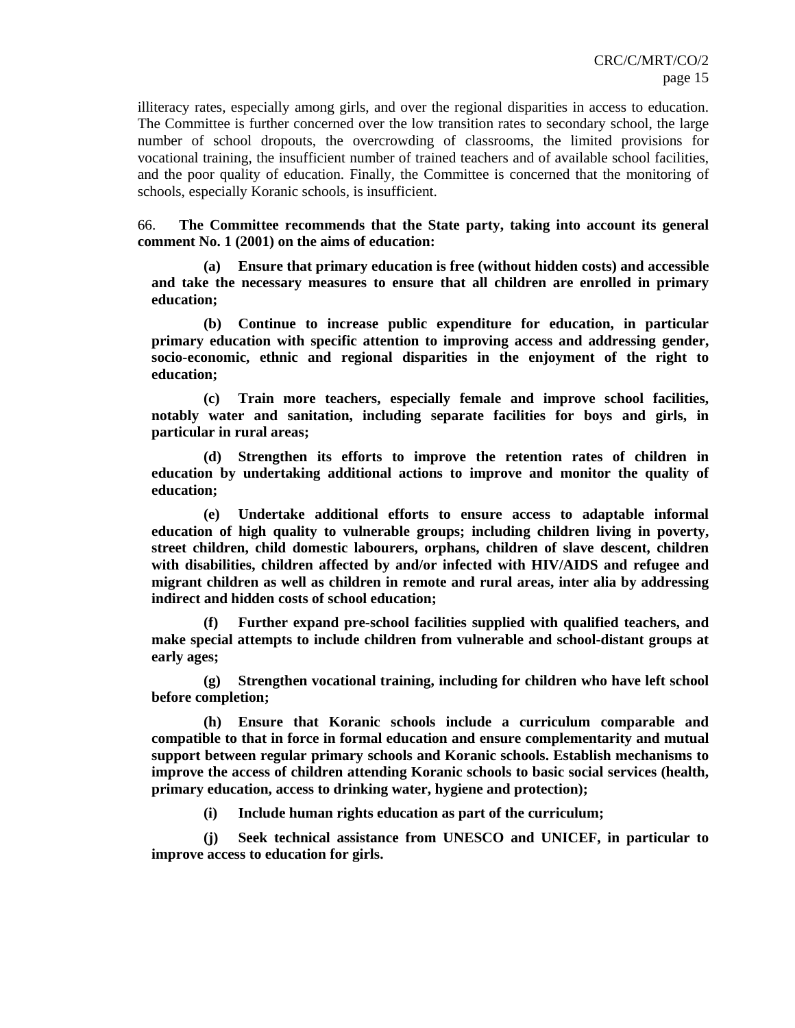illiteracy rates, especially among girls, and over the regional disparities in access to education. The Committee is further concerned over the low transition rates to secondary school, the large number of school dropouts, the overcrowding of classrooms, the limited provisions for vocational training, the insufficient number of trained teachers and of available school facilities, and the poor quality of education. Finally, the Committee is concerned that the monitoring of schools, especially Koranic schools, is insufficient.

66. **The Committee recommends that the State party, taking into account its general comment No. 1 (2001) on the aims of education:**

**(a) Ensure that primary education is free (without hidden costs) and accessible and take the necessary measures to ensure that all children are enrolled in primary education;** 

**(b) Continue to increase public expenditure for education, in particular primary education with specific attention to improving access and addressing gender, socio-economic, ethnic and regional disparities in the enjoyment of the right to education;** 

**(c) Train more teachers, especially female and improve school facilities, notably water and sanitation, including separate facilities for boys and girls, in particular in rural areas;** 

**(d) Strengthen its efforts to improve the retention rates of children in education by undertaking additional actions to improve and monitor the quality of education;** 

**(e) Undertake additional efforts to ensure access to adaptable informal education of high quality to vulnerable groups; including children living in poverty, street children, child domestic labourers, orphans, children of slave descent, children with disabilities, children affected by and/or infected with HIV/AIDS and refugee and migrant children as well as children in remote and rural areas, inter alia by addressing indirect and hidden costs of school education;** 

**(f) Further expand pre-school facilities supplied with qualified teachers, and make special attempts to include children from vulnerable and school-distant groups at early ages;** 

**(g) Strengthen vocational training, including for children who have left school before completion;** 

**(h) Ensure that Koranic schools include a curriculum comparable and compatible to that in force in formal education and ensure complementarity and mutual support between regular primary schools and Koranic schools. Establish mechanisms to improve the access of children attending Koranic schools to basic social services (health, primary education, access to drinking water, hygiene and protection);** 

**(i) Include human rights education as part of the curriculum;** 

**(j) Seek technical assistance from UNESCO and UNICEF, in particular to improve access to education for girls.**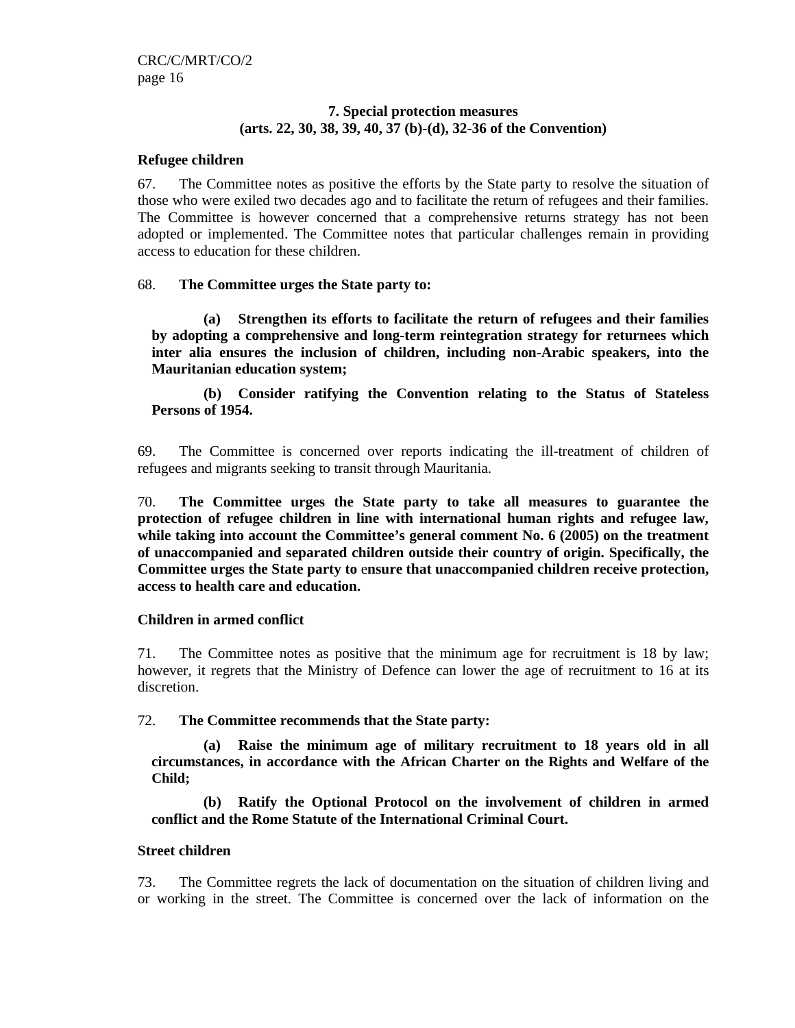# **7. Special protection measures (arts. 22, 30, 38, 39, 40, 37 (b)-(d), 32-36 of the Convention)**

# **Refugee children**

67. The Committee notes as positive the efforts by the State party to resolve the situation of those who were exiled two decades ago and to facilitate the return of refugees and their families. The Committee is however concerned that a comprehensive returns strategy has not been adopted or implemented. The Committee notes that particular challenges remain in providing access to education for these children.

# 68. **The Committee urges the State party to:**

**(a) Strengthen its efforts to facilitate the return of refugees and their families by adopting a comprehensive and long-term reintegration strategy for returnees which inter alia ensures the inclusion of children, including non-Arabic speakers, into the Mauritanian education system;** 

**(b) Consider ratifying the Convention relating to the Status of Stateless Persons of 1954.** 

69. The Committee is concerned over reports indicating the ill-treatment of children of refugees and migrants seeking to transit through Mauritania.

70. **The Committee urges the State party to take all measures to guarantee the protection of refugee children in line with international human rights and refugee law, while taking into account the Committee's general comment No. 6 (2005) on the treatment of unaccompanied and separated children outside their country of origin. Specifically, the Committee urges the State party to** e**nsure that unaccompanied children receive protection, access to health care and education.**

# **Children in armed conflict**

71. The Committee notes as positive that the minimum age for recruitment is 18 by law; however, it regrets that the Ministry of Defence can lower the age of recruitment to 16 at its discretion.

# 72. **The Committee recommends that the State party:**

**(a) Raise the minimum age of military recruitment to 18 years old in all circumstances, in accordance with the African Charter on the Rights and Welfare of the Child;** 

**(b) Ratify the Optional Protocol on the involvement of children in armed conflict and the Rome Statute of the International Criminal Court.** 

# **Street children**

73. The Committee regrets the lack of documentation on the situation of children living and or working in the street. The Committee is concerned over the lack of information on the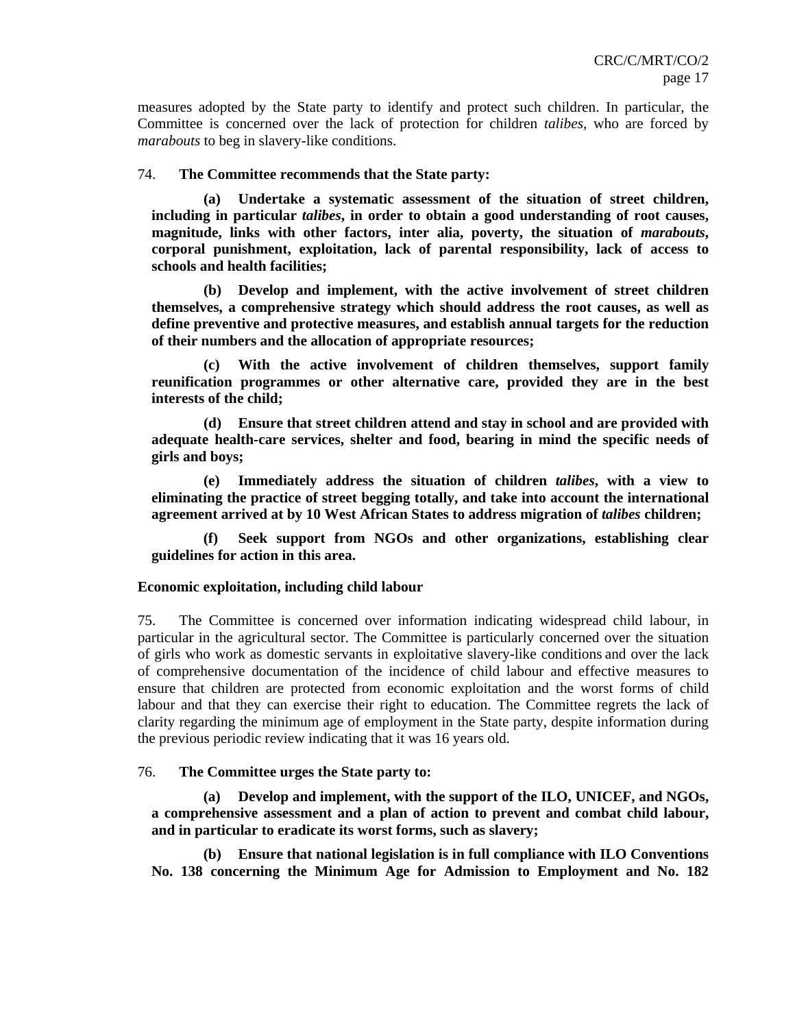measures adopted by the State party to identify and protect such children. In particular, the Committee is concerned over the lack of protection for children *talibes,* who are forced by *marabouts* to beg in slavery-like conditions.

# 74. **The Committee recommends that the State party:**

**(a) Undertake a systematic assessment of the situation of street children, including in particular** *talibes***, in order to obtain a good understanding of root causes, magnitude, links with other factors, inter alia, poverty, the situation of** *marabouts***, corporal punishment, exploitation, lack of parental responsibility, lack of access to schools and health facilities;** 

**(b) Develop and implement, with the active involvement of street children themselves, a comprehensive strategy which should address the root causes, as well as define preventive and protective measures, and establish annual targets for the reduction of their numbers and the allocation of appropriate resources;** 

**(c) With the active involvement of children themselves, support family reunification programmes or other alternative care, provided they are in the best interests of the child;** 

**(d) Ensure that street children attend and stay in school and are provided with adequate health-care services, shelter and food, bearing in mind the specific needs of girls and boys;** 

**(e) Immediately address the situation of children** *talibes***, with a view to eliminating the practice of street begging totally, and take into account the international agreement arrived at by 10 West African States to address migration of** *talibes* **children;** 

**(f) Seek support from NGOs and other organizations, establishing clear guidelines for action in this area.** 

# **Economic exploitation, including child labour**

75. The Committee is concerned over information indicating widespread child labour, in particular in the agricultural sector. The Committee is particularly concerned over the situation of girls who work as domestic servants in exploitative slavery-like conditions and over the lack of comprehensive documentation of the incidence of child labour and effective measures to ensure that children are protected from economic exploitation and the worst forms of child labour and that they can exercise their right to education. The Committee regrets the lack of clarity regarding the minimum age of employment in the State party, despite information during the previous periodic review indicating that it was 16 years old.

# 76. **The Committee urges the State party to:**

**(a) Develop and implement, with the support of the ILO, UNICEF, and NGOs, a comprehensive assessment and a plan of action to prevent and combat child labour, and in particular to eradicate its worst forms, such as slavery;** 

**(b) Ensure that national legislation is in full compliance with ILO Conventions No. 138 concerning the Minimum Age for Admission to Employment and No. 182**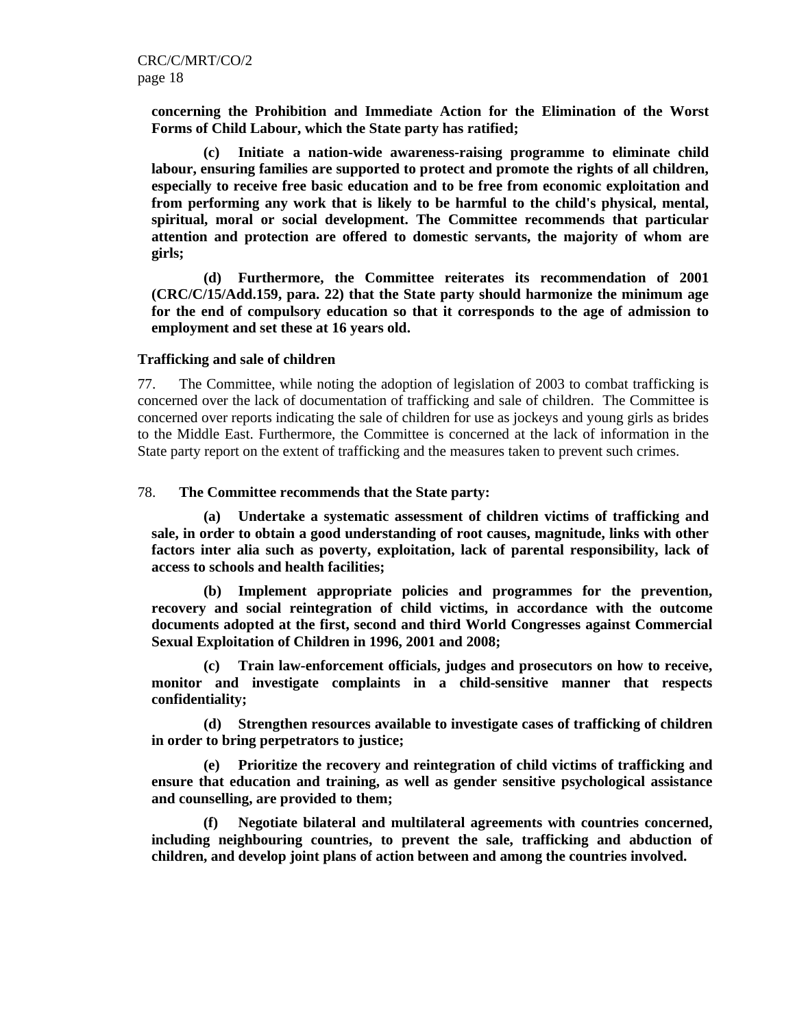**concerning the Prohibition and Immediate Action for the Elimination of the Worst Forms of Child Labour, which the State party has ratified;**

**(c) Initiate a nation-wide awareness-raising programme to eliminate child labour, ensuring families are supported to protect and promote the rights of all children, especially to receive free basic education and to be free from economic exploitation and from performing any work that is likely to be harmful to the child's physical, mental, spiritual, moral or social development. The Committee recommends that particular attention and protection are offered to domestic servants, the majority of whom are girls;** 

**(d) Furthermore, the Committee reiterates its recommendation of 2001 (CRC/C/15/Add.159, para. 22) that the State party should harmonize the minimum age for the end of compulsory education so that it corresponds to the age of admission to employment and set these at 16 years old.**

#### **Trafficking and sale of children**

77. The Committee, while noting the adoption of legislation of 2003 to combat trafficking is concerned over the lack of documentation of trafficking and sale of children. The Committee is concerned over reports indicating the sale of children for use as jockeys and young girls as brides to the Middle East. Furthermore, the Committee is concerned at the lack of information in the State party report on the extent of trafficking and the measures taken to prevent such crimes.

# 78. **The Committee recommends that the State party:**

**(a) Undertake a systematic assessment of children victims of trafficking and sale, in order to obtain a good understanding of root causes, magnitude, links with other factors inter alia such as poverty, exploitation, lack of parental responsibility, lack of access to schools and health facilities;** 

**(b) Implement appropriate policies and programmes for the prevention, recovery and social reintegration of child victims, in accordance with the outcome documents adopted at the first, second and third World Congresses against Commercial Sexual Exploitation of Children in 1996, 2001 and 2008;** 

**(c) Train law-enforcement officials, judges and prosecutors on how to receive, monitor and investigate complaints in a child-sensitive manner that respects confidentiality;** 

**(d) Strengthen resources available to investigate cases of trafficking of children in order to bring perpetrators to justice;** 

**(e) Prioritize the recovery and reintegration of child victims of trafficking and ensure that education and training, as well as gender sensitive psychological assistance and counselling, are provided to them;** 

**(f) Negotiate bilateral and multilateral agreements with countries concerned, including neighbouring countries, to prevent the sale, trafficking and abduction of children, and develop joint plans of action between and among the countries involved.**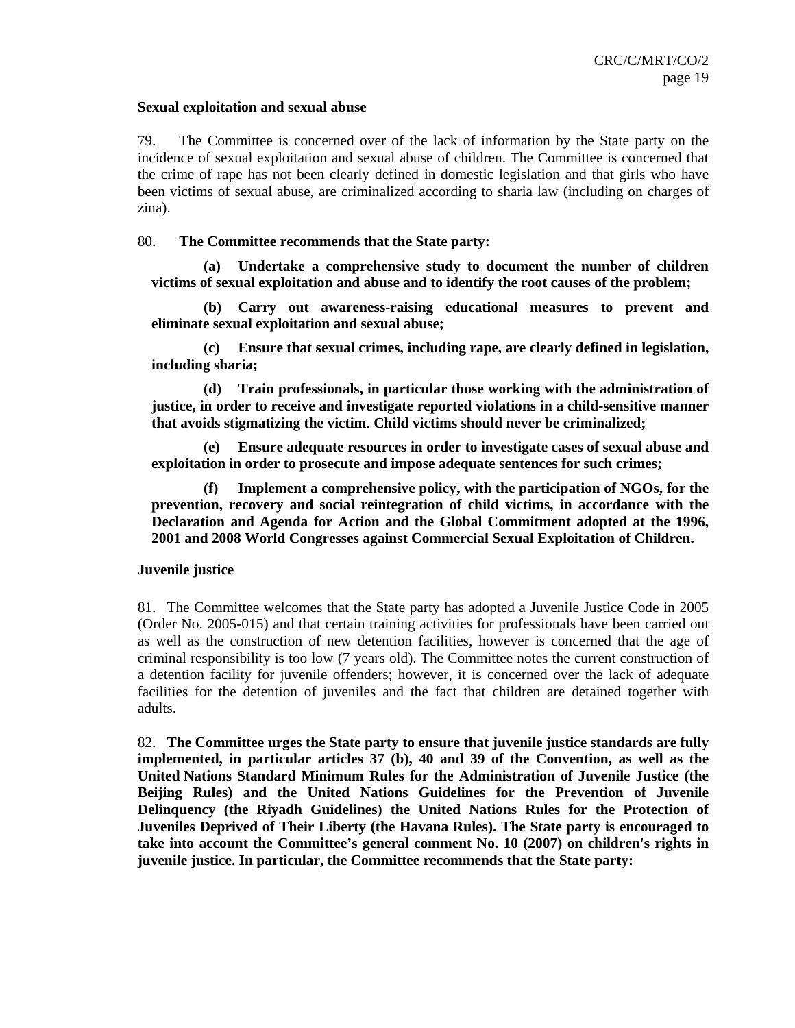## **Sexual exploitation and sexual abuse**

79. The Committee is concerned over of the lack of information by the State party on the incidence of sexual exploitation and sexual abuse of children. The Committee is concerned that the crime of rape has not been clearly defined in domestic legislation and that girls who have been victims of sexual abuse, are criminalized according to sharia law (including on charges of zina).

# 80. **The Committee recommends that the State party:**

**(a) Undertake a comprehensive study to document the number of children victims of sexual exploitation and abuse and to identify the root causes of the problem;** 

**(b) Carry out awareness-raising educational measures to prevent and eliminate sexual exploitation and sexual abuse;** 

**(c) Ensure that sexual crimes, including rape, are clearly defined in legislation, including sharia;** 

**(d) Train professionals, in particular those working with the administration of justice, in order to receive and investigate reported violations in a child-sensitive manner that avoids stigmatizing the victim. Child victims should never be criminalized;** 

**(e) Ensure adequate resources in order to investigate cases of sexual abuse and exploitation in order to prosecute and impose adequate sentences for such crimes;** 

**(f) Implement a comprehensive policy, with the participation of NGOs, for the prevention, recovery and social reintegration of child victims, in accordance with the Declaration and Agenda for Action and the Global Commitment adopted at the 1996, 2001 and 2008 World Congresses against Commercial Sexual Exploitation of Children.** 

# **Juvenile justice**

81. The Committee welcomes that the State party has adopted a Juvenile Justice Code in 2005 (Order No. 2005-015) and that certain training activities for professionals have been carried out as well as the construction of new detention facilities, however is concerned that the age of criminal responsibility is too low (7 years old). The Committee notes the current construction of a detention facility for juvenile offenders; however, it is concerned over the lack of adequate facilities for the detention of juveniles and the fact that children are detained together with adults.

82. **The Committee urges the State party to ensure that juvenile justice standards are fully implemented, in particular articles 37 (b), 40 and 39 of the Convention, as well as the United Nations Standard Minimum Rules for the Administration of Juvenile Justice (the Beijing Rules) and the United Nations Guidelines for the Prevention of Juvenile Delinquency (the Riyadh Guidelines) the United Nations Rules for the Protection of Juveniles Deprived of Their Liberty (the Havana Rules). The State party is encouraged to take into account the Committee's general comment No. 10 (2007) on children's rights in juvenile justice. In particular, the Committee recommends that the State party:**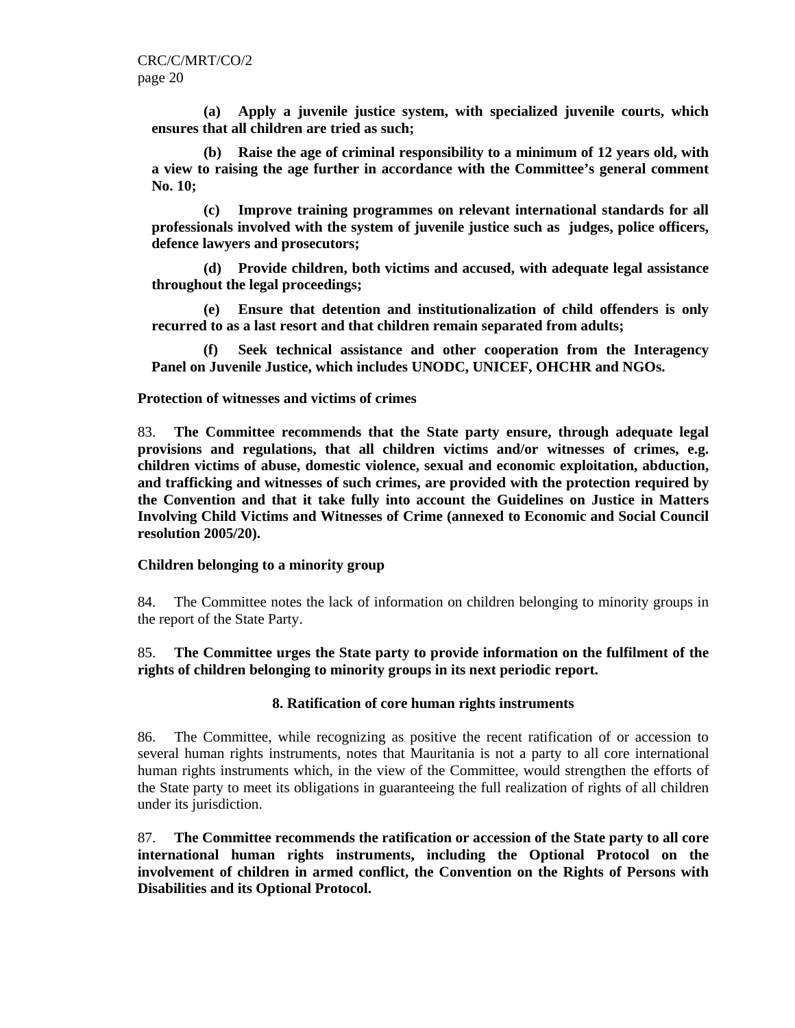**(a) Apply a juvenile justice system, with specialized juvenile courts, which ensures that all children are tried as such;** 

**(b) Raise the age of criminal responsibility to a minimum of 12 years old, with a view to raising the age further in accordance with the Committee's general comment No. 10;** 

**(c) Improve training programmes on relevant international standards for all professionals involved with the system of juvenile justice such as judges, police officers, defence lawyers and prosecutors;** 

**(d) Provide children, both victims and accused, with adequate legal assistance throughout the legal proceedings;** 

**(e) Ensure that detention and institutionalization of child offenders is only recurred to as a last resort and that children remain separated from adults;** 

**(f) Seek technical assistance and other cooperation from the Interagency Panel on Juvenile Justice, which includes UNODC, UNICEF, OHCHR and NGOs.** 

# **Protection of witnesses and victims of crimes**

83. **The Committee recommends that the State party ensure, through adequate legal provisions and regulations, that all children victims and/or witnesses of crimes, e.g. children victims of abuse, domestic violence, sexual and economic exploitation, abduction, and trafficking and witnesses of such crimes, are provided with the protection required by the Convention and that it take fully into account the Guidelines on Justice in Matters Involving Child Victims and Witnesses of Crime (annexed to Economic and Social Council resolution 2005/20).**

# **Children belonging to a minority group**

84. The Committee notes the lack of information on children belonging to minority groups in the report of the State Party.

# 85. **The Committee urges the State party to provide information on the fulfilment of the rights of children belonging to minority groups in its next periodic report.**

# **8. Ratification of core human rights instruments**

86. The Committee, while recognizing as positive the recent ratification of or accession to several human rights instruments, notes that Mauritania is not a party to all core international human rights instruments which, in the view of the Committee, would strengthen the efforts of the State party to meet its obligations in guaranteeing the full realization of rights of all children under its jurisdiction.

87. **The Committee recommends the ratification or accession of the State party to all core international human rights instruments, including the Optional Protocol on the involvement of children in armed conflict, the Convention on the Rights of Persons with Disabilities and its Optional Protocol.**